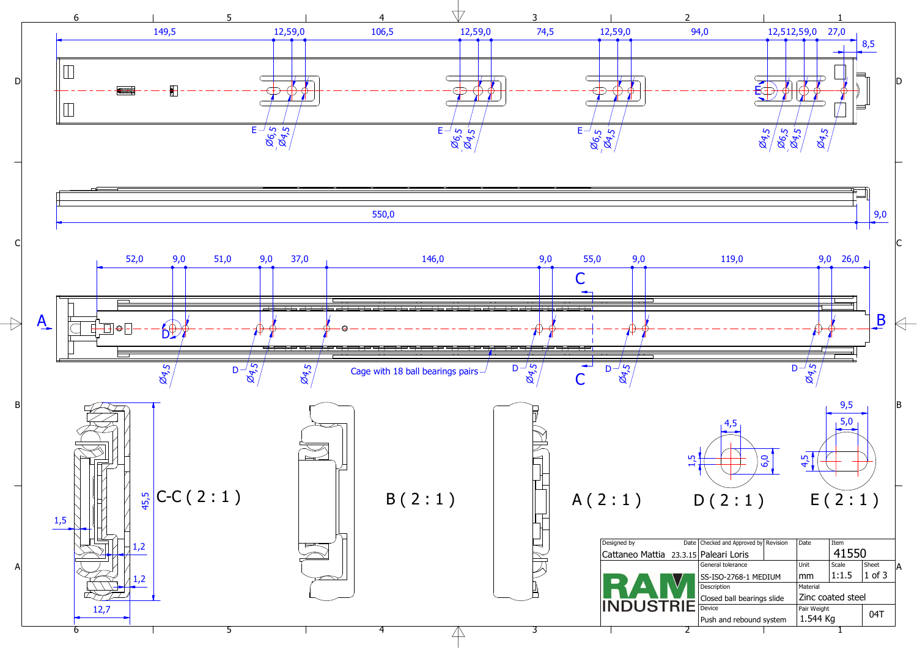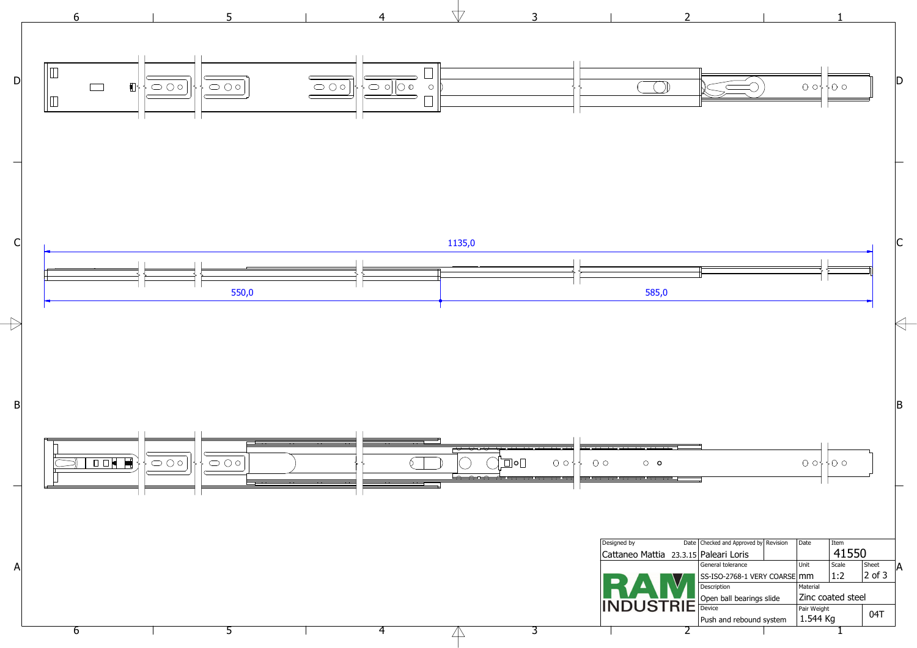